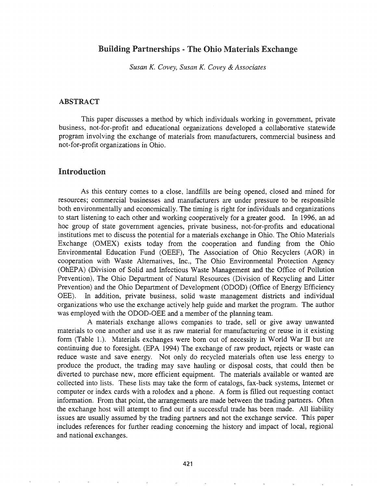# Building Partnerships - The Ohio Materials Exchange

*Susan K. Covey, Susan K. Covey* &*Associates*

## ABSTRACT

This paper discusses a method by which individuals working in government, private business, not-for-profit and educational organizations developed a collaborative statewide program involving the exchange of materials from manufacturers, commercial business and not-for-profit organizations in Ohio.

# Introduction

As this century comes to a close, landfills are being opened, closed and mined for resources; commercial businesses and manufacturers are under pressure to be responsible both environmentally and economically. The timing is right for individuals and organizations to start listening to each other and working cooperatively for a greater good. In 1996, an ad hoc group of state government agencies, private business, not-for-profits and educational institutions met to discuss the potential for a materials exchange in Ohio. The Ohio Materials Exchange (OMEX) exists today from the cooperation and funding from the Ohio Environmental Education Fund (OEEF), The Association of Ohio Recyclers (AOR) in cooperation with Waste Alternatives, Inc., The Ohio Environmental Protection Agency (OhEPA) (Division of Solid and Infectious Waste Management and the Office of Pollution Prevention), The Ohio Department of Natural Resources (Division of Recycling and Litter Prevention) and the Ohio Department of Development (ODOD) (Office of Energy Efficiency GEE). In addition, private business, solid waste management districts and individual organizations who use the exchange actively help guide and market the program. The author was employed with the ODOD-OEE and a member of the planning team.

materials exchange allows companies to trade, sell or give away unwanted materials to one another and use it as raw material for manufacturing or reuse in it existing form (Table 1.). Materials exchanges were born out of necessity in World War IT but are continuing due to foresight. (EPA 1994) The exchange of raw product, rejects or waste can reduce waste and save energy. Not only do recycled materials often use less energy to produce the product, the trading may save hauling or disposal costs, that could then be diverted to purchase new, more efficient equipment. The materials available or wanted are collected into lists. These lists may take the form of catalogs, fax-back systems, Internet or computer or index cards with a rolodex and a phone. A form is filled out requesting contact information. From that point, the arrangements are made between the trading partners. Often the exchange host will attempt to find out if a successful trade has been made. All liability issues are usually assumed by the trading partners and not the exchange service. This paper includes references for further reading concerning the history and impact of local, regional and national exchanges.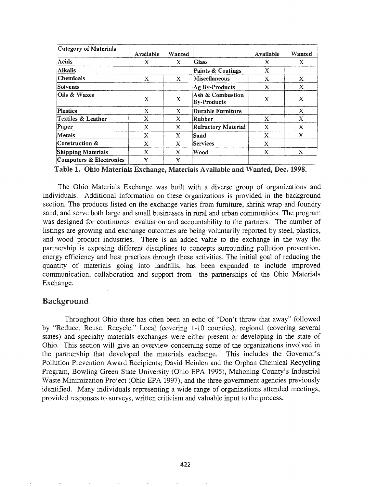| Category of Materials     | Available | Wanted |                                        | Available | Wanted |
|---------------------------|-----------|--------|----------------------------------------|-----------|--------|
| Acids                     | X         | X      | Glass                                  | X         | X      |
| <b>Alkalis</b>            |           |        | Paints & Coatings                      | X         |        |
| <b>Chemicals</b>          | X         | X      | Miscellaneous                          | X         | X      |
| <b>Solvents</b>           |           |        | Ag By-Products                         | X         | X      |
| Oils & Waxes              | X         | X      | Ash & Combustion<br><b>By-Products</b> | X         | X      |
| Plastics                  | X         | X      | Durable Furniture                      |           | X      |
| Textiles & Leather        | X         | X      | Rubber                                 | X         | X      |
| Paper                     | X         | X      | <b>Refractory Material</b>             | X         | X      |
| Metals                    | X         | X      | Sand                                   | X         | X      |
| Construction &            | X         | X      | Services                               | X         |        |
| <b>Shipping Materials</b> | X         | X      | Wood                                   | X         | X      |
| Computers & Electronics   | X         | X      |                                        |           |        |

Table 1. Ohio Materials Exchange, Materials Available and Wanted, Dec. 1998.

The Ohio Materials Exchange was built with a diverse group of organizations and individuals. Additional information on these organizations is provided in the background section. The products listed on the exchange varies from furniture, shrink wrap and foundry sand, and serve both large and small businesses in rural and urban communities. The program was designed for continuous evaluation and accountability to the partners. The number of listings are growing and exchange outcomes are being voluntarily reported by steel, plastics, and wood product industries. There is an added value to the exchange in the way the partnership is exposing different disciplines to concepts surrounding pollution prevention, energy efficiency and best practices through these activities. The initial goal of reducing the quantity of materials going into landfills, has been expanded to include improved communication, collaboration and support from the partnerships of the Ohio Materials Exchange.

# Background

Throughout Ohio there has often been an echo of "Don't throw that away" followed by "Reduce, Reuse, Recycle." Local (covering 1-10 counties), regional (covering several states) and specialty materials exchanges were either present or developing in the state of Ohio. This section will give an overview concerning some of the organizations involved in the partnership that developed the materials exchange. This includes the Governor's Pollution Prevention Award Recipients; David Heinlen and the Orphan Chemical Recycling Program, Bowling Green State University (Ohio EPA 1995), Mahoning County's Industrial Waste Minimization Project (Ohio EPA 1997), and the three government agencies previously identified. Many individuals representing a wide range of organizations attended meetings, provided responses to surveys, written criticism and valuable input to the process.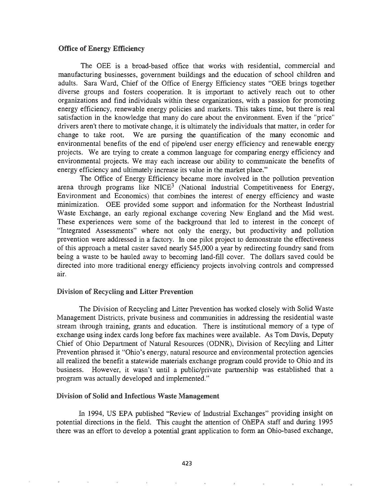### Office of Energy Efficiency

The OEE is a broad-based office that works with residential, commercial and manufacturing businesses, government buildings and the education of school children and adults. Sara Ward, Chief of the Office of Energy Efficiency states "OEE brings together diverse groups and fosters cooperation. It is important to actively reach out to other organizations and find individuals within these organizations, with a passion for promoting energy efficiency, renewable energy policies and markets. This takes time, but there is real satisfaction in the knowledge that many do care about the environment. Even if the "price" drivers aren't there to motivate change, it is ultimately the individuals that matter, in order for change to take root. We are pursing the quantification of the many economic and environmental benefits of the end of pipe/end user energy efficiency and renewable energy projects. We are trying to create a common language for comparing energy efficiency and environmental projects. We may each increase our ability to communicate the benefits of energy efficiency and ultimately increase its value in the market place."

The Office of Energy Efficiency became more involved in the pollution prevention arena through programs like  $NICE<sup>3</sup>$  (National Industrial Competitiveness for Energy, Environment and Economics) that combines the interest of energy efficiency and waste minimization. OEE provided some support and information for the Northeast Industrial Waste Exchange, an early regional exchange covering New England and the Mid west. These experiences were some of the background that led to interest in the concept of "Integrated Assessments" where not only the energy, but productivity and pollution prevention were addressed in a factory. In one pilot project to demonstrate the effectiveness of this approach a metal caster saved nearly \$45,000 a year by redirecting foundry sand from being a waste to be hauled away to becoming land-fill cover. The dollars saved could be directed into more traditional energy efficiency projects involving controls and compressed air.

## Division of Recycling and Litter Prevention

The Division of Recycling and Litter Prevention has worked closely with Solid Waste Management Districts, private business and communities in addressing the residential waste stream through training, grants and education. There is institutional memory of a type of exchange using index cards long before fax machines were available. As Tom Davis, Deputy Chief of Ohio Department of Natural Resources (ODNR), Division of Recyling and Litter Prevention phrased it "Ohio's energy, natural resource and environmental protection agencies all realized the benefit a statewide materials exchange program could provide to Ohio and its business. However, it wasn't until a public/private partnership was established that a program was actually developed and implemented."

### Division of Solid and Infectious Waste Management

In 1994, US EPA published "Review of Industrial Exchanges" providing insight on potential directions in the field. This caught the attention of OhEPA staff and during 1995 there was an effort to develop a potential grant application to form an Ohio-based exchange,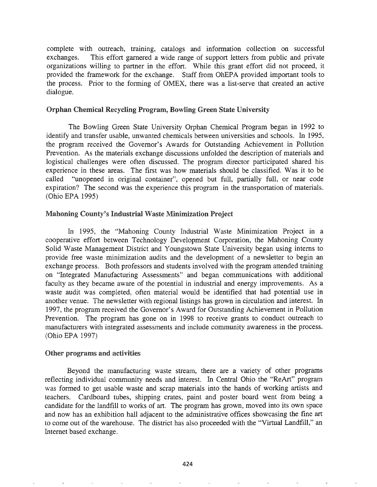complete with outreach, training, catalogs and information collection on successful exchanges. This effort garnered a wide range of support letters from public and private organizations willing to partner in the effort. While this grant effort did not proceed, it provided the framework for the exchange. Staff from OhEPA provided important tools to the process. Prior to the forming of OMEX, there was a list-serve that created an active dialogue.

## Orphan Chemical Recycling Program, Bowling Green State University

The Bowling Green State University Orphan Chemical Program began in 1992 to identify and transfer usable, unwanted chemicals between universities and schools. In 1995, the program received the Governor's Awards for Outstanding Achievement in Pollution Prevention. As the materials exchange discussions unfolded the description of materials and logistical challenges were often discussed. The program director participated shared his experience in these areas. The first was how materials should be classified. Was it to be called "unopened in original container", opened but full, partially full, or near code expiration? The second was the experience this program in the transportation of materials. (Ohio EPA 1995)

#### Mahoning County's Industrial Waste Minimization Project

In 1995, the "Mahoning County Industrial Waste Minimization Project in a cooperative effort between Technology Development Corporation, the Mahoning County Solid Waste Management District and Youngstown State University began using interns to provide free waste minimization audits and the development of a newsletter to begin an exchange process. Both professors and students involved with the program attended training on "Integrated Manufacturing Assessments" and began communications with additional faculty as they became aware of the potential in industrial and energy improvements. As a waste audit was completed, often material would be identified that had potential use in another venue. The newsletter with regional listings has grown in circulation and interest. In 1997, the program received the Governor's Award for Outstanding Achievement in Pollution Prevention. The program has gone on in 1998 to receive grants to conduct outreach to manufacturers with integrated assessments and include community awareness in the process. (Ohio EPA 1997)

#### Other programs and activities

Beyond the manufacturing waste stream, there are a variety of other programs reflecting individual community needs and interest. In Central Ohio the "ReArt" program was formed to get usable waste and scrap materials into the hands of working artists and teachers. Cardboard tubes, shipping crates, paint and poster board went from being a candidate for the landfill to works of art. The program has grown, moved into its own space and now has an exhibition hall adjacent to the administrative offices showcasing the fine art to come out of the warehouse. The district has also proceeded with the "Virtual Landfill," an Internet based exchange.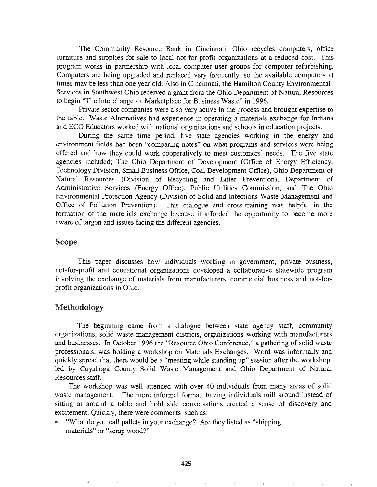The Community Resource Bank in Cincinnati, Ohio recycles computers, office furniture and supplies for sale to local not-for-profit organizations at a reduced cost. This program works in partnership with local computer user groups for computer refurbishing. Computers are being upgraded and replaced very frequently, so the available computers at times may be less than one year old. Also in Cincinnati, the Hamilton County Environmental Services in Southwest Ohio received a grant from the Ohio Department of Natural Resources to begin "The Interchange - a Marketplace for Business Waste" in 1996.

Private sector companies were also very active in the process and brought expertise to the table. Waste Alternatives had experience in operating a materials exchange for Indiana and ECO Educators worked with national organizations and schools in education projects.

During the same time period, five state agencies working in the energy and environment fields had been "comparing notes" on what programs and services were being offered and how they could work cooperatively to meet customers' needs. The five state agencies included; The Ohio Department of Development (Office of Energy Efficiency, Technology Division, Small Business Office, Coal Development Office), Ohio Department of Natural Resources (Division of Recycling and Litter Prevention), Department of Administrative Services (Energy Office), Public Utilities Commission, and The Ohio Environmental Protection Agency (Division of Solid and Infectious Waste Management and Office of Pollution Prevention). This dialogue and cross-training was helpful in the formation of the materials exchange because it afforded the opportunity to become more aware of jargon and issues facing the different agencies.

### Scope

This paper discusses how individuals working in government, private business, not-for-profit and educational organizations developed a collaborative statewide program involving the exchange of materials from manufacturers, commercial business and not-forprofit organizations in Ohio.

## Methodology

The beginning came from a dialogue between state agency staff, community organizations, solid waste management districts, organizations working with manufacturers and businesses. In October 1996 the "Resource Ohio Conference," a gathering of solid waste professionals, was holding a workshop on Materials Exchanges. Word was informally and quickly spread that there would be a "meeting while standing up" session after the workshop, led by Cuyahoga County Solid Waste Management and Ohio Department of Natural Resources staff.

The workshop was well attended with over 40 individuals from many areas of solid waste management. The more informal format, having individuals mill around instead of sitting at around a table and hold side conversations created a sense of discovery and excitement. Quickly, there were comments such as:

"What do you call pallets in your exchange? Are they listed as "shipping" materials" or "scrap wood?"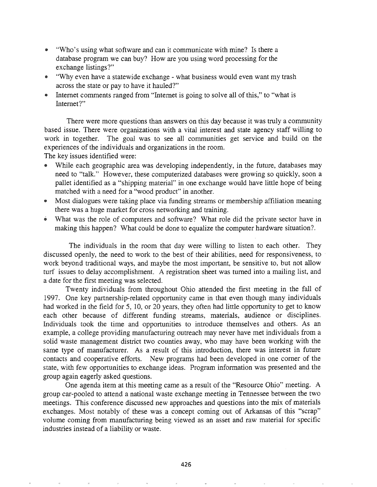- .. "Who's using what software and can it communicate with mine? Is there a database program we can buy? How are you using word processing for the exchange listings?"
- 4& "Why even have a statewide exchange what business would even want my trash across the state or pay to have it hauled?"
- Internet comments ranged from "Internet is going to solve all of this," to "what is Internet?"

There were more questions than answers on this day because it was truly a community based issue. There were organizations with a vital interest and state agency staff willing to work in together. The goal was to see all communities get service and build on the experiences of the individuals and organizations in the room.

The key issues identified were:

- While each geographic area was developing independently, in the future, databases may need to "talk." However, these computerized databases were growing so quickly, soon a pallet identified as a "shipping material" in one exchange would have little hope of being matched with a need for a "wood product" in another.
- Most dialogues were taking place via funding streams or membership affiliation meaning there was a huge market for cross networking and training.
- What was the role of computers and software? What role did the private sector have in making this happen? What could be done to equalize the computer hardware situation?.

The individuals in the room that day were willing to listen to each other. They discussed openly, the need to work to the best of their abilities, need for responsiveness, to work beyond traditional ways, and maybe the most important, be sensitive to, but not allow turf issues to delay accomplishment. A registration sheet was turned into a mailing list, and a date for the first meeting was selected.

Twenty individuals from throughout Ohio attended the first meeting in the fall of 1997. One key partnership-related opportunity came in that even though many individuals had worked in the field for 5, 10, or 20 years, they often had little opportunity to get to know each other because of different funding streams, materials, audience or disciplines. Individuals took the time and opportunities to introduce themselves and others. As an example, a college providing manufacturing outreach may never have met individuals from a solid waste management district two counties away, who may have been working with the same type of manufacturer. As a result of this introduction, there was interest in future contacts and cooperative efforts. New programs had been developed in one corner of the state, with few opportunities to exchange ideas. Program information was presented and the group again eagerly asked questions.

One agenda item at this meeting came as a result of the "Resource Ohio" meeting. A group car-pooled to attend a national waste exchange meeting in Tennessee between the two meetings. This conference discussed new approaches and questions into the mix of materials exchanges. Most notably of these was a concept coming out of Arkansas of this "scrap" volume coming from manufacturing being viewed as an asset and raw material for specific industries instead of a liability or waste.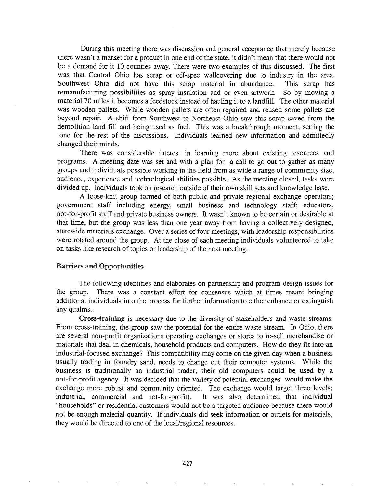During this meeting there was discussion and general acceptance that merely because there wasn't a market for a product in one end of the state, it didn't mean that there would not be a demand for it 10 counties away. There were two examples of this discussed. The first was that Central Ohio has scrap or off-spec wallcovering due to industry in the area. Southwest Ohio did not have this scrap material in abundance. This scrap has remanufacturing possibilities as spray insulation and or even artwork. So by moving a material 70 miles it becomes a feedstock instead of hauling it to a landfill. The other material was wooden pallets. While wooden pallets are often repaired and reused some pallets are beyond repair. A shift from Southwest to Northeast Ohio saw this scrap saved from the demolition land fill and being used as fuel. This was a breakthrough moment, setting the tone for the rest of the discussions. Individuals learned new information and admittedly changed their minds.

There was considerable interest in learning more about existing resources and programs. A meeting date was set and with a plan for a call to go out to gather as many groups and individuals possible working in the field from as wide a range of community size, audience, experience and technological abilities possible. As the meeting closed, tasks were divided up. Individuals took on research outside of their own skill sets and knowledge base.

A loose-knit group formed of both public and private regional exchange operators; government staff including energy, small business and technology staff; educators, not-far-profit staff and private business owners. It wasn't known to be certain or desirable at that time, but the group was less than one year away from having a collectively designed, statewide materials exchange. Over a series of four meetings, with leadership responsibilities were rotated around the group. At the close of each meeting individuals volunteered to take on tasks like research of topics or leadership of the next meeting.

#### Barriers and Opportunities

The following identifies and elaborates on partnership and program design issues for the group. There was a constant effort for consensus which at times meant bringing additional individuals into the process for further information to either enhance or extinguish any qualms..

Cross-training is necessary due to the diversity of stakeholders and waste streams. From cross-training, the group saw the potential for the entire waste stream. In Ohio, there are several non-profit organizations operating exchanges or stores to fe-sell merchandise or materials that deal in chemicals, household products and computers. How do they fit into an industrial-focused exchange? This compatibility may come on the given day when a business usually trading in foundry sand, needs to change out their computer systems. While the business is traditionally an industrial trader, their old computers could be used by a not-for-profit agency. It was decided that the variety of potential exchanges would make the exchange more robust and community oriented. The exchange would target three levels; industrial, commercial and not-for-profit). It was also determined that individual "households" or residential customers would not be a targeted audience because there would not be enough material quantity. If individuals did seek information or outlets for materials, they would be directed to one of the local/regional resources.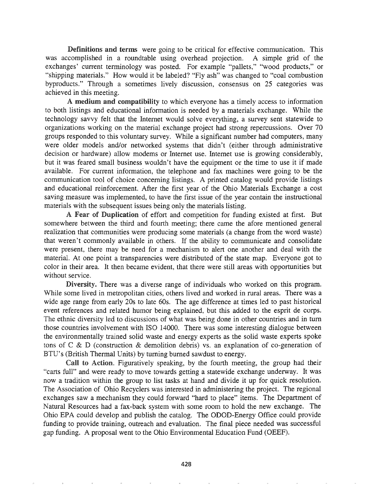Definitions and terms were going to be critical for effective communication. This was accomplished in a roundtable using overhead projection. A simple grid of the exchanges' current terminology was posted. For example "pallets," "wood products," or "shipping materials." How would it be labeled? "Fly ash" was changed to "coal combustion byproducts." Through a sometimes lively discussion, consensus on 25 categories was achieved in this meeting.

A medium and compatibility to which everyone has a timely access to information to both listings and educational information is needed by a materials exchange. While the technology savvy felt that the Internet would solve everything, a survey sent statewide to organizations working on the material exchange project had strong repercussions. Over 70 groups responded to this voluntary survey. While a significant number had computers, many were older models and/or networked systems that didn't (either through administrative decision or hardware) allow modems or Internet use. Internet use is growing considerably, but it was feared small business wouldn't have the equipment or the time to use it if made available. For current information, the telephone and fax machines were going to be the communication tool of choice concerning listings. A printed catalog would provide listings and educational reinforcement. After the first year of the Ohio Materials Exchange a cost saving measure was implemented, to have the first issue of the year contain the instructional materials with the subsequent issues being only the materials listing.

A Fear of Duplication of effort and competition for funding existed at first. But somewhere between the third and fourth meeting; there came the afore mentioned general realization that communities were producing some materials (a change from the word waste) that weren't commonly available in others. If the ability to communicate and consolidate were present, there may be need for a mechanism to alert one another and deal with the material. At one point a transparencies were distributed of the state map. Everyone got to color in their area. It then became evident, that there were still areas with opportunities but without service.

Diversity. There was a diverse range of individuals who worked on this program. While some lived in metropolitan cities, others lived and worked in rural areas. There was a wide age range from early 20s to late 60s. The age difference at times led to past historical event references and related humor being explained, but this added to the esprit de corps. The ethnic diversity led to discussions of what was being done in other countries and in tum those countries involvement with ISO 14000. There was some interesting dialogue between the environmentally trained solid waste and energy experts as the solid waste experts spoke tons of C & D (construction & demolition debris) vs. an explanation of co-generation of BTU's (British Thermal Units) by turning burned sawdust to energy.

Call to Action. Figuratively speaking, by the fourth meeting, the group had their "carts full" and were ready to move towards getting a statewide exchange underway. It was now a tradition within the group to list tasks at hand and divide it up for quick resolution. The Association of Ohio Recyclers was interested in administering the project. The regional exchanges saw a mechanism they could forward "hard to place" items. The Department of Natural Resources had a fax-back system with some room to hold the new exchange. The Ohio EPA could develop and publish the catalog. The ODOD-Energy Office could provide funding to provide training, outreach and evaluation. The final piece needed was successful gap funding. A proposal went to the Ohio Environmental Education Fund (OEEF).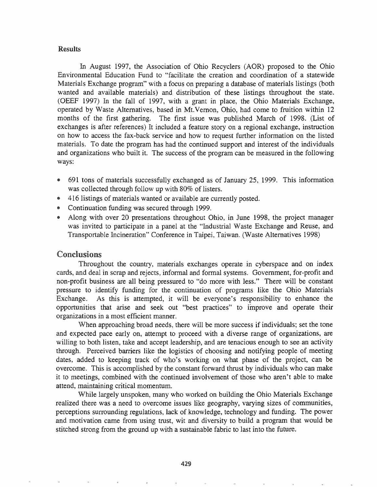## Results

In August 1997, the Association of Ohio Recyclers (AOR) proposed to the Ohio Environmental Education Fund to "facilitate the creation and coordination of a statewide Materials Exchange program" with a focus on preparing a database of materials listings (both wanted and available materials) and distribution of these listings throughout the state. (OEEF 1997) In the fall of 1997, with a grant in place, the Ohio Materials Exchange, operated by Waste Alternatives, based in Mt.Vernon, Ohio, had come to fruition within 12 months of the first gathering. The first issue was published March of 1998. (List of exchanges is after references) It included a feature story on a regional exchange, instruction on how to access the fax-back service and how to request further information on the listed materials. To date the program has had the continued support and interest of the individuals and organizations who built it. The success of the program can be measured in the following ways:

- 691 tons of materials successfully exchanged as of January 25, 1999. This information was collected through follow up with 80% of listers.
- 416 listings of materials wanted or available are currently posted.
- Continuation funding was secured through 1999.
- Along with over 20 presentations throughout Ohio, in June 1998, the project manager was invited to participate in a panel at the "Industrial Waste Exchange and Reuse, and Transportable Incineration" Conference in Taipei, Taiwan. (Waste Alternatives 1998)

## Conclusions

Throughout the country, materials exchanges operate in cyberspace and on index cards, and deal in scrap and rejects, informal and formal systems. Government, for-profit and non-profit business are all being pressured to "do more with less." There will be constant pressure to identify funding for the continuation of programs like the Ohio Materials Exchange. As this is attempted, it will be everyone's responsibility to enhance the opportunities that arise and seek out "best practices" to improve and operate their organizations in a most efficient manner.

When approaching broad needs, there will be more success if individuals; set the tone and expected pace early on, attempt to proceed with a diverse range of organizations, are willing to both listen, take and accept leadership, and are tenacious enough to see an activity through. Perceived barriers like the logistics of choosing and notifying people of meeting dates, added to keeping track of who's working on what phase of the project, can be overcome. This is accomplished by the constant forward thrust by individuals who can make it to meetings, combined with the continued involvement of those who aren't able to make attend, maintaining critical momentum.

While largely unspoken, many who worked on building the Ohio Materials Exchange realized there was a need to overcome issues like geography, varying sizes of communities, perceptions surrounding regulations, lack of knowledge, technology and funding. The power and motivation came from using trust, wit and diversity to build a program that would be stitched strong from the ground up with a sustainable fabric to last into the future.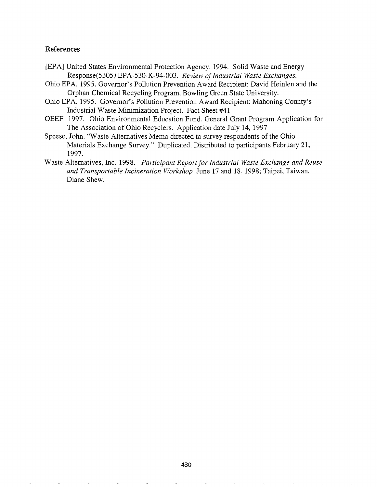## References

- [EPA] United States Environmental Protection Agency. 1994. Solid Waste and Energy Response(5305) EPA-530-K-94-003. Review of Industrial Waste Exchanges.
- Ohio EPA. 1995. Governor's Pollution Prevention Award Recipient: David Heinlen and the Orphan Chemical Recycling Program, Bowling Green State University.
- Ohio EPA. 1995. Governor's Pollution Prevention Award Recipient: Mahoning County's Industrial Waste Minimization Project. Fact Sheet #41
- OEEF 1997. Ohio Environmental Education Fund. General Grant Program Application for The Association of Ohio Recyclers. Application date July 14, 1997
- Speese, John. "Waste Alternatives Memo directed to survey respondents of the Ohio Materials Exchange Survey." Duplicated. Distributed to participants February 21, 1997.
- Waste Alternatives, Inc. 1998. *Participant Reportfor Industrial Waste Exchange and Reuse and Transportable Incineration Workshop* June 17 and 18, 1998; Taipei, Taiwan. Diane Shew.